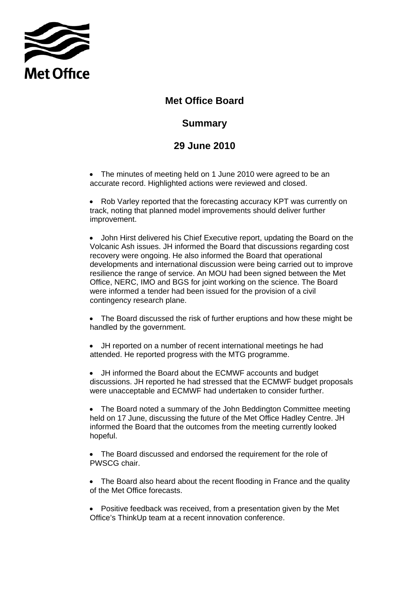

## **Met Office Board**

## **Summary**

## **29 June 2010**

• The minutes of meeting held on 1 June 2010 were agreed to be an accurate record. Highlighted actions were reviewed and closed.

• Rob Varley reported that the forecasting accuracy KPT was currently on track, noting that planned model improvements should deliver further improvement.

• John Hirst delivered his Chief Executive report, updating the Board on the Volcanic Ash issues. JH informed the Board that discussions regarding cost recovery were ongoing. He also informed the Board that operational developments and international discussion were being carried out to improve resilience the range of service. An MOU had been signed between the Met Office, NERC, IMO and BGS for joint working on the science. The Board were informed a tender had been issued for the provision of a civil contingency research plane.

• The Board discussed the risk of further eruptions and how these might be handled by the government.

• JH reported on a number of recent international meetings he had attended. He reported progress with the MTG programme.

• JH informed the Board about the ECMWF accounts and budget discussions. JH reported he had stressed that the ECMWF budget proposals were unacceptable and ECMWF had undertaken to consider further.

• The Board noted a summary of the John Beddington Committee meeting held on 17 June, discussing the future of the Met Office Hadley Centre. JH informed the Board that the outcomes from the meeting currently looked hopeful.

• The Board discussed and endorsed the requirement for the role of PWSCG chair.

• The Board also heard about the recent flooding in France and the quality of the Met Office forecasts.

• Positive feedback was received, from a presentation given by the Met Office's ThinkUp team at a recent innovation conference.